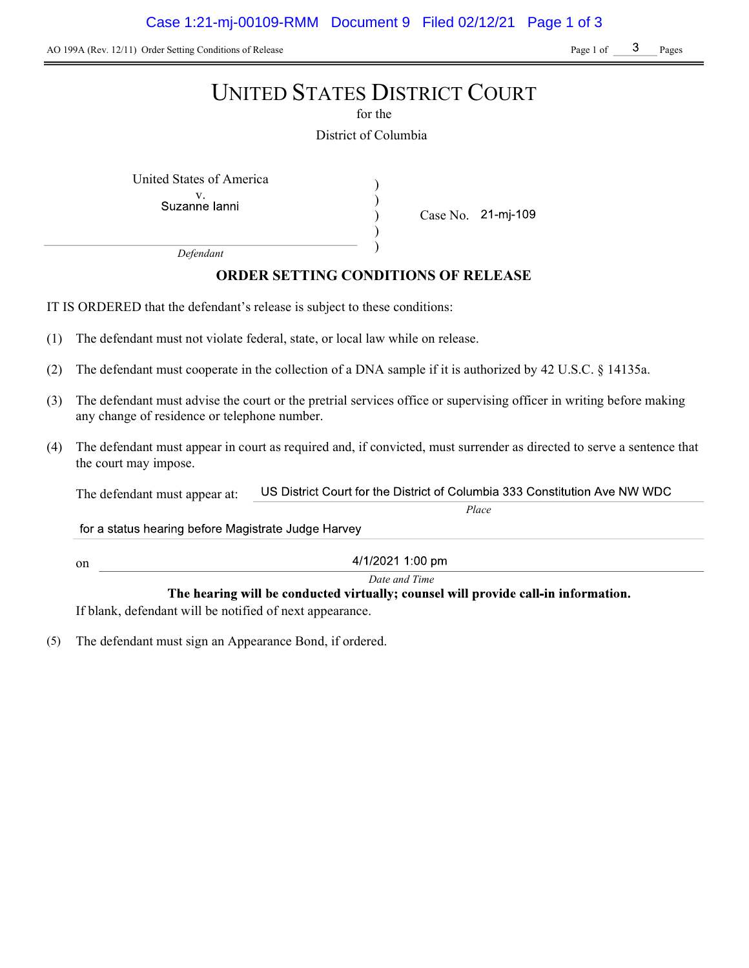AO 199A (Rev. 12/11) Order Setting Conditions of Release Page 1 of Page 1 of Pages

# UNITED STATES DISTRICT COURT

for the

District of Columbia

) ) ) )

United States of America (1992)

v.<br>Suzanne lanni

Case No.

Place

Defendant

# ORDER SETTING CONDITIONS OF RELEASE

IT IS ORDERED that the defendant's release is subject to these conditions:

- (1) The defendant must not violate federal, state, or local law while on release.
- (2) The defendant must cooperate in the collection of a DNA sample if it is authorized by 42 U.S.C. § 14135a.
- (3) The defendant must advise the court or the pretrial services office or supervising officer in writing before making any change of residence or telephone number.
- (4) The defendant must appear in court as required and, if convicted, must surrender as directed to serve a sentence that the court may impose.

US District Court for the District of Columbia 333 Constitution Ave NW WDC The defendant must appear at:

for a status hearing before Magistrate Judge Harvey

on

4/1/2021 1:00 pm Date and Time

The hearing will be conducted virtually; counsel will provide call-in information.

If blank, defendant will be notified of next appearance.

(5) The defendant must sign an Appearance Bond, if ordered.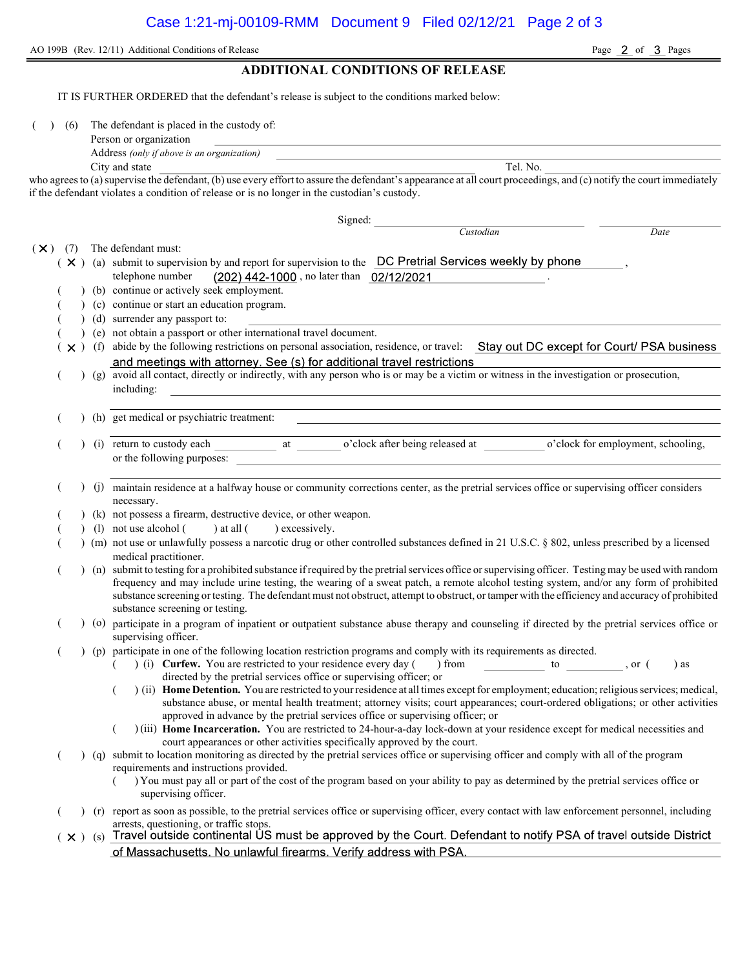|  |  | AO 199B (Rev. 12/11) Additional Conditions of Release |
|--|--|-------------------------------------------------------|
|--|--|-------------------------------------------------------|

Page  $2$  of  $3$  Pages

### ADDITIONAL CONDITIONS OF RELEASE

IT IS FURTHER ORDERED that the defendant's release is subject to the conditions marked below:

( ) (6) The defendant is placed in the custody of:

| Person or organization |  |
|------------------------|--|
|                        |  |

Address (only if above is an organization)

City and state Tel. No.

who agrees to (a) supervise the defendant, (b) use every effort to assure the defendant's appearance at all court proceedings, and (c) notify the court immediately if the defendant violates a condition of release or is no longer in the custodian's custody.

|     |                           | Signed:                                                                                                                                                                                                                                                                                         |
|-----|---------------------------|-------------------------------------------------------------------------------------------------------------------------------------------------------------------------------------------------------------------------------------------------------------------------------------------------|
|     |                           | Custodian<br>Date                                                                                                                                                                                                                                                                               |
| (X) | (7)                       | The defendant must:                                                                                                                                                                                                                                                                             |
|     |                           | $(X)$ (a) submit to supervision by and report for supervision to the DC Pretrial Services weekly by phone                                                                                                                                                                                       |
|     |                           | (202) 442-1000, no later than 02/12/2021<br>telephone number                                                                                                                                                                                                                                    |
|     |                           | (b) continue or actively seek employment.                                                                                                                                                                                                                                                       |
|     |                           | (c) continue or start an education program.                                                                                                                                                                                                                                                     |
|     |                           | (d) surrender any passport to:                                                                                                                                                                                                                                                                  |
|     |                           | (e) not obtain a passport or other international travel document.                                                                                                                                                                                                                               |
|     | $\boldsymbol{\mathsf{x}}$ | (f) abide by the following restrictions on personal association, residence, or travel: Stay out DC except for Court/ PSA business                                                                                                                                                               |
|     |                           | and meetings with attorney. See (s) for additional travel restrictions                                                                                                                                                                                                                          |
|     |                           | (g) avoid all contact, directly or indirectly, with any person who is or may be a victim or witness in the investigation or prosecution,                                                                                                                                                        |
|     |                           | including:                                                                                                                                                                                                                                                                                      |
|     |                           |                                                                                                                                                                                                                                                                                                 |
|     |                           | ) (h) get medical or psychiatric treatment:                                                                                                                                                                                                                                                     |
|     |                           |                                                                                                                                                                                                                                                                                                 |
|     |                           |                                                                                                                                                                                                                                                                                                 |
|     |                           | or the following purposes:                                                                                                                                                                                                                                                                      |
|     |                           |                                                                                                                                                                                                                                                                                                 |
|     |                           | (j) maintain residence at a halfway house or community corrections center, as the pretrial services office or supervising officer considers                                                                                                                                                     |
|     |                           | necessary.                                                                                                                                                                                                                                                                                      |
|     |                           | (k) not possess a firearm, destructive device, or other weapon.                                                                                                                                                                                                                                 |
|     |                           | (1) not use alcohol (<br>$)$ at all $($<br>excessively.                                                                                                                                                                                                                                         |
|     |                           | ) (m) not use or unlawfully possess a narcotic drug or other controlled substances defined in 21 U.S.C. § 802, unless prescribed by a licensed                                                                                                                                                  |
|     |                           | medical practitioner.                                                                                                                                                                                                                                                                           |
|     |                           | ) (n) submit to testing for a prohibited substance if required by the pretrial services office or supervising officer. Testing may be used with random<br>frequency and may include urine testing, the wearing of a sweat patch, a remote alcohol testing system, and/or any form of prohibited |
|     |                           | substance screening or testing. The defendant must not obstruct, attempt to obstruct, or tamper with the efficiency and accuracy of prohibited                                                                                                                                                  |
|     |                           | substance screening or testing.                                                                                                                                                                                                                                                                 |
|     |                           | ) (o) participate in a program of inpatient or outpatient substance abuse therapy and counseling if directed by the pretrial services office or                                                                                                                                                 |
|     |                           | supervising officer.                                                                                                                                                                                                                                                                            |
|     |                           | (p) participate in one of the following location restriction programs and comply with its requirements as directed.                                                                                                                                                                             |
|     |                           | (i) Curfew. You are restricted to your residence every day (<br>) from $\qquad \qquad$<br>to<br>$\alpha$ , or $($<br>) as                                                                                                                                                                       |
|     |                           | directed by the pretrial services office or supervising officer; or                                                                                                                                                                                                                             |
|     |                           | ) (ii) Home Detention. You are restricted to your residence at all times except for employment; education; religious services; medical,                                                                                                                                                         |
|     |                           | substance abuse, or mental health treatment; attorney visits; court appearances; court-ordered obligations; or other activities                                                                                                                                                                 |
|     |                           | approved in advance by the pretrial services office or supervising officer; or                                                                                                                                                                                                                  |
|     |                           | )(iii) Home Incarceration. You are restricted to 24-hour-a-day lock-down at your residence except for medical necessities and<br>court appearances or other activities specifically approved by the court.                                                                                      |
|     |                           | (q) submit to location monitoring as directed by the pretrial services office or supervising officer and comply with all of the program                                                                                                                                                         |
|     |                           | requirements and instructions provided.                                                                                                                                                                                                                                                         |
|     |                           | ) You must pay all or part of the cost of the program based on your ability to pay as determined by the pretrial services office or                                                                                                                                                             |
|     |                           | supervising officer.                                                                                                                                                                                                                                                                            |
| (   |                           | (r) report as soon as possible, to the pretrial services office or supervising officer, every contact with law enforcement personnel, including                                                                                                                                                 |
|     |                           | arrests, questioning, or traffic stops.                                                                                                                                                                                                                                                         |
|     |                           | $(x)$ (s) Travel outside continental US must be approved by the Court. Defendant to notify PSA of travel outside District                                                                                                                                                                       |
|     |                           | of Massachusetts. No unlawful firearms. Verify address with PSA.                                                                                                                                                                                                                                |
|     |                           |                                                                                                                                                                                                                                                                                                 |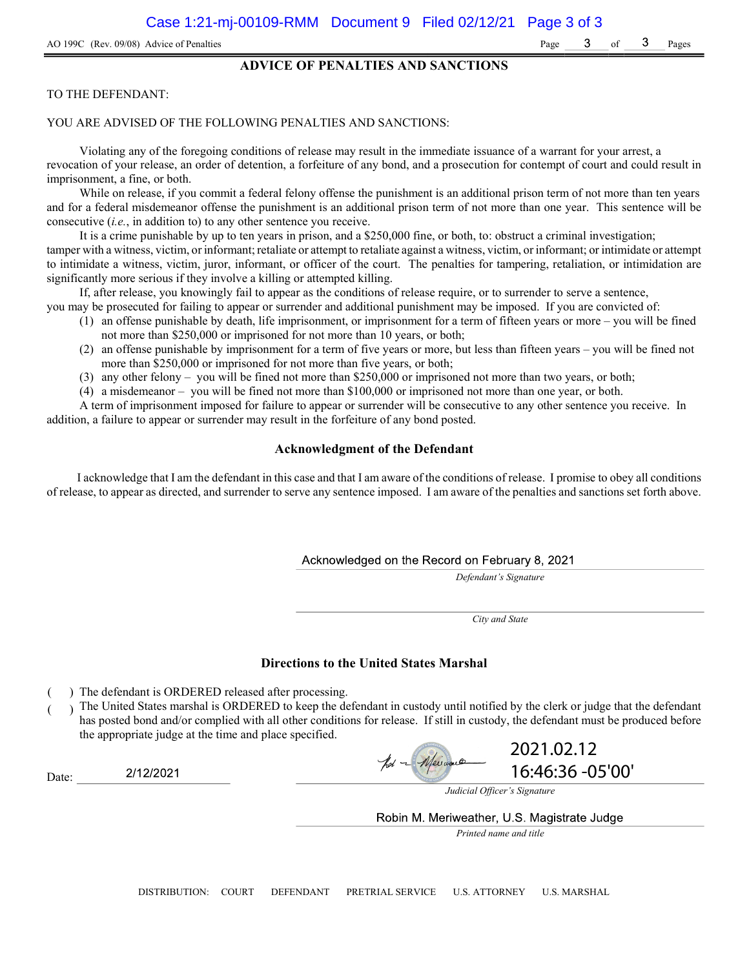#### ADVICE OF PENALTIES AND SANCTIONS

#### TO THE DEFENDANT:

#### YOU ARE ADVISED OF THE FOLLOWING PENALTIES AND SANCTIONS:

Violating any of the foregoing conditions of release may result in the immediate issuance of a warrant for your arrest, a revocation of your release, an order of detention, a forfeiture of any bond, and a prosecution for contempt of court and could result in imprisonment, a fine, or both.

While on release, if you commit a federal felony offense the punishment is an additional prison term of not more than ten years and for a federal misdemeanor offense the punishment is an additional prison term of not more than one year. This sentence will be consecutive (i.e., in addition to) to any other sentence you receive.

It is a crime punishable by up to ten years in prison, and a \$250,000 fine, or both, to: obstruct a criminal investigation; tamper with a witness, victim, or informant; retaliate or attempt to retaliate against a witness, victim, or informant; or intimidate or attempt to intimidate a witness, victim, juror, informant, or officer of the court. The penalties for tampering, retaliation, or intimidation are significantly more serious if they involve a killing or attempted killing.

If, after release, you knowingly fail to appear as the conditions of release require, or to surrender to serve a sentence,

- you may be prosecuted for failing to appear or surrender and additional punishment may be imposed. If you are convicted of: (1) an offense punishable by death, life imprisonment, or imprisonment for a term of fifteen years or more – you will be fined
	- not more than \$250,000 or imprisoned for not more than 10 years, or both;
	- (2) an offense punishable by imprisonment for a term of five years or more, but less than fifteen years you will be fined not more than \$250,000 or imprisoned for not more than five years, or both;
	- (3) any other felony you will be fined not more than \$250,000 or imprisoned not more than two years, or both;
	- (4) a misdemeanor you will be fined not more than \$100,000 or imprisoned not more than one year, or both.

A term of imprisonment imposed for failure to appear or surrender will be consecutive to any other sentence you receive. In addition, a failure to appear or surrender may result in the forfeiture of any bond posted.

#### Acknowledgment of the Defendant

I acknowledge that I am the defendant in this case and that I am aware of the conditions of release. I promise to obey all conditions of release, to appear as directed, and surrender to serve any sentence imposed. I am aware of the penalties and sanctions set forth above.

#### Acknowledged on the Record on February 8, 2021

Defendant's Signature

City and State

#### Directions to the United States Marshal

) The defendant is ORDERED released after processing.

2/12/2021

Date:

) The United States marshal is ORDERED to keep the defendant in custody until notified by the clerk or judge that the defendant has posted bond and/or complied with all other conditions for release. If still in custody, the defendant must be produced before the appropriate judge at the time and place specified.

 $\frac{\mu_{\text{bol}}}{\mu_{\text{el}}}\frac{2021.1}{16.46}$ <br>Judicial Officer's Signature 2021.02.12 16:46:36 -05'00'

Robin M. Meriweather, U.S. Magistrate Judge

Printed name and title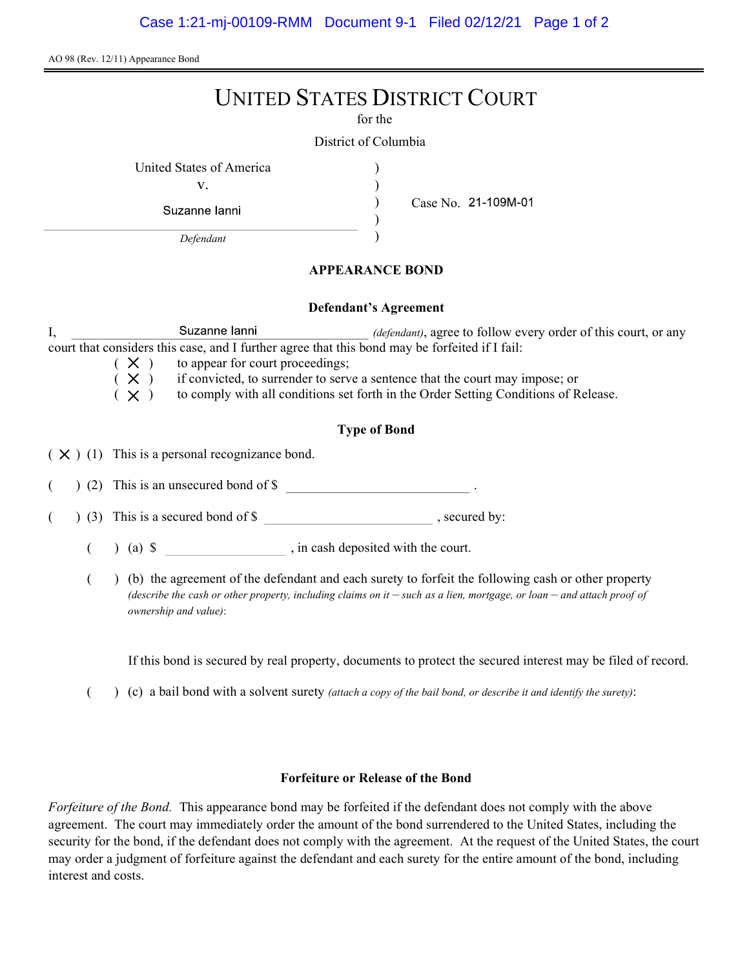AO 98 (Rev. 12/11) Appearance Bond

# UNITED STATES DISTRICT COURT

for the

) ) ) )

District of Columbia

United States of America (1996)

v.

Suzanne lanni

Case No.

Defendant

## APPEARANCE BOND

### Defendant's Agreement

I, Suzanne lanni *(defendant)*, agree to follow every order of this court, or any court that considers this case, and I further agree that this bond may be forfeited if I fail:

 $(X)$  to appear for court proceedings;<br> $(X)$  if convicted, to surrender to serv

 $(X)$  if convicted, to surrender to serve a sentence that the court may impose; or  $(X)$  to comply with all conditions set forth in the Order Setting Conditions of R

to comply with all conditions set forth in the Order Setting Conditions of Release.

## Type of Bond

 $(X)$  (1) This is a personal recognizance bond.

(2) This is an unsecured bond of \$

 $($   $)$  (3) This is a secured bond of \$, secured by:

 $($  ) (a)  $\$  , in cash deposited with the court.

( ) (b) the agreement of the defendant and each surety to forfeit the following cash or other property (describe the cash or other property, including claims on it  $-$  such as a lien, mortgage, or loan  $-$  and attach proof of ownership and value):

If this bond is secured by real property, documents to protect the secured interest may be filed of record.

 $($  )  $(c)$  a bail bond with a solvent surety *(attach a copy of the bail bond, or describe it and identify the surety)*:

## Forfeiture or Release of the Bond

Forfeiture of the Bond. This appearance bond may be forfeited if the defendant does not comply with the above agreement. The court may immediately order the amount of the bond surrendered to the United States, including the security for the bond, if the defendant does not comply with the agreement. At the request of the United States, the court may order a judgment of forfeiture against the defendant and each surety for the entire amount of the bond, including interest and costs.